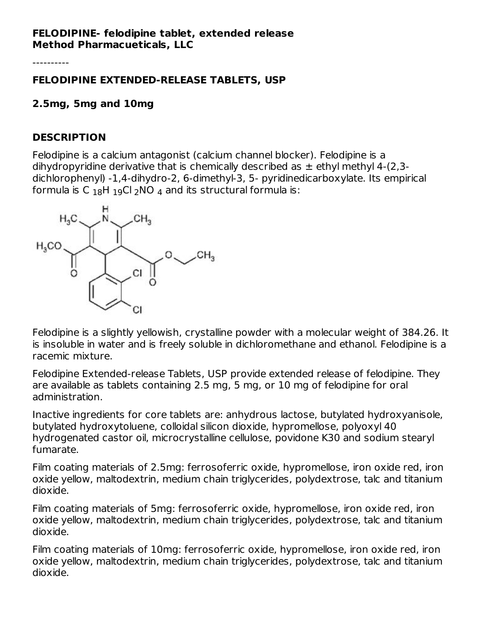### **FELODIPINE- felodipine tablet, extended release Method Pharmacueticals, LLC**

----------

### **FELODIPINE EXTENDED-RELEASE TABLETS, USP**

## **2.5mg, 5mg and 10mg**

### **DESCRIPTION**

Felodipine is a calcium antagonist (calcium channel blocker). Felodipine is a dihydropyridine derivative that is chemically described as  $\pm$  ethyl methyl 4-(2,3dichlorophenyl) -1,4-dihydro-2, 6-dimethyl-3, 5- pyridinedicarboxylate. Its empirical formula is C  $_{18}$ H  $_{19}$ Cl  $_{2}$ NO  $_{4}$  and its structural formula is:



Felodipine is a slightly yellowish, crystalline powder with a molecular weight of 384.26. It is insoluble in water and is freely soluble in dichloromethane and ethanol. Felodipine is a racemic mixture.

Felodipine Extended-release Tablets, USP provide extended release of felodipine. They are available as tablets containing 2.5 mg, 5 mg, or 10 mg of felodipine for oral administration.

Inactive ingredients for core tablets are: anhydrous lactose, butylated hydroxyanisole, butylated hydroxytoluene, colloidal silicon dioxide, hypromellose, polyoxyl 40 hydrogenated castor oil, microcrystalline cellulose, povidone K30 and sodium stearyl fumarate.

Film coating materials of 2.5mg: ferrosoferric oxide, hypromellose, iron oxide red, iron oxide yellow, maltodextrin, medium chain triglycerides, polydextrose, talc and titanium dioxide.

Film coating materials of 5mg: ferrosoferric oxide, hypromellose, iron oxide red, iron oxide yellow, maltodextrin, medium chain triglycerides, polydextrose, talc and titanium dioxide.

Film coating materials of 10mg: ferrosoferric oxide, hypromellose, iron oxide red, iron oxide yellow, maltodextrin, medium chain triglycerides, polydextrose, talc and titanium dioxide.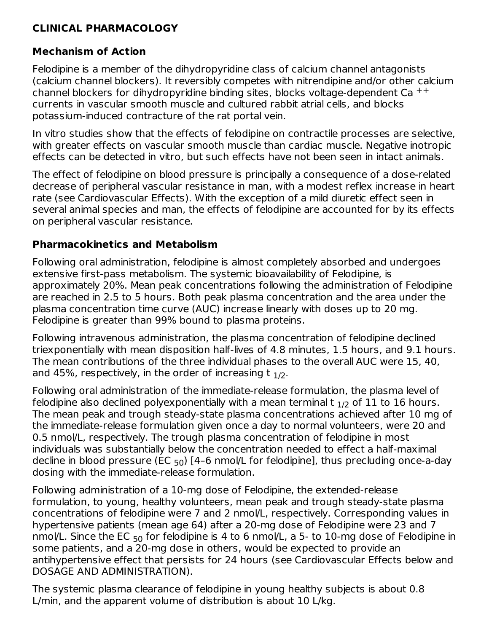# **CLINICAL PHARMACOLOGY**

# **Mechanism of Action**

Felodipine is a member of the dihydropyridine class of calcium channel antagonists (calcium channel blockers). It reversibly competes with nitrendipine and/or other calcium channel blockers for dihydropyridine binding sites, blocks voltage-dependent Ca  $^{++}$ currents in vascular smooth muscle and cultured rabbit atrial cells, and blocks potassium-induced contracture of the rat portal vein.

In vitro studies show that the effects of felodipine on contractile processes are selective, with greater effects on vascular smooth muscle than cardiac muscle. Negative inotropic effects can be detected in vitro, but such effects have not been seen in intact animals.

The effect of felodipine on blood pressure is principally a consequence of a dose-related decrease of peripheral vascular resistance in man, with a modest reflex increase in heart rate (see Cardiovascular Effects). With the exception of a mild diuretic effect seen in several animal species and man, the effects of felodipine are accounted for by its effects on peripheral vascular resistance.

## **Pharmacokinetics and Metabolism**

Following oral administration, felodipine is almost completely absorbed and undergoes extensive first-pass metabolism. The systemic bioavailability of Felodipine, is approximately 20%. Mean peak concentrations following the administration of Felodipine are reached in 2.5 to 5 hours. Both peak plasma concentration and the area under the plasma concentration time curve (AUC) increase linearly with doses up to 20 mg. Felodipine is greater than 99% bound to plasma proteins.

Following intravenous administration, the plasma concentration of felodipine declined triexponentially with mean disposition half-lives of 4.8 minutes, 1.5 hours, and 9.1 hours. The mean contributions of the three individual phases to the overall AUC were 15, 40, and 45%, respectively, in the order of increasing t  $_{\rm 1/2}$ .

Following oral administration of the immediate-release formulation, the plasma level of felodipine also declined polyexponentially with a mean terminal t  $_{\rm 1/2}$  of 11 to 16 hours. The mean peak and trough steady-state plasma concentrations achieved after 10 mg of the immediate-release formulation given once a day to normal volunteers, were 20 and 0.5 nmol/L, respectively. The trough plasma concentration of felodipine in most individuals was substantially below the concentration needed to effect a half-maximal decline in blood pressure (EC <sub>50</sub>) [4–6 nmol/L for felodipine], thus precluding once-a-day dosing with the immediate-release formulation.

Following administration of a 10-mg dose of Felodipine, the extended-release formulation, to young, healthy volunteers, mean peak and trough steady-state plasma concentrations of felodipine were 7 and 2 nmol/L, respectively. Corresponding values in hypertensive patients (mean age 64) after a 20-mg dose of Felodipine were 23 and 7 nmol/L. Since the EC  $_{50}$  for felodipine is 4 to 6 nmol/L, a 5- to 10-mg dose of Felodipine in some patients, and a 20-mg dose in others, would be expected to provide an antihypertensive effect that persists for 24 hours (see Cardiovascular Effects below and DOSAGE AND ADMINISTRATION).

The systemic plasma clearance of felodipine in young healthy subjects is about 0.8 L/min, and the apparent volume of distribution is about 10 L/kg.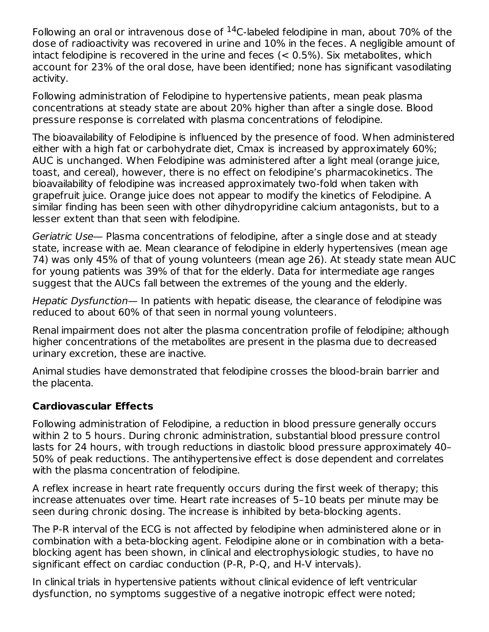Following an oral or intravenous dose of  $^{14}$ C-labeled felodipine in man, about 70% of the dose of radioactivity was recovered in urine and 10% in the feces. A negligible amount of intact felodipine is recovered in the urine and feces (< 0.5%). Six metabolites, which account for 23% of the oral dose, have been identified; none has significant vasodilating activity.

Following administration of Felodipine to hypertensive patients, mean peak plasma concentrations at steady state are about 20% higher than after a single dose. Blood pressure response is correlated with plasma concentrations of felodipine.

The bioavailability of Felodipine is influenced by the presence of food. When administered either with a high fat or carbohydrate diet, Cmax is increased by approximately 60%; AUC is unchanged. When Felodipine was administered after a light meal (orange juice, toast, and cereal), however, there is no effect on felodipine's pharmacokinetics. The bioavailability of felodipine was increased approximately two-fold when taken with grapefruit juice. Orange juice does not appear to modify the kinetics of Felodipine. A similar finding has been seen with other dihydropyridine calcium antagonists, but to a lesser extent than that seen with felodipine.

Geriatric Use— Plasma concentrations of felodipine, after a single dose and at steady state, increase with ae. Mean clearance of felodipine in elderly hypertensives (mean age 74) was only 45% of that of young volunteers (mean age 26). At steady state mean AUC for young patients was 39% of that for the elderly. Data for intermediate age ranges suggest that the AUCs fall between the extremes of the young and the elderly.

Hepatic Dysfunction— In patients with hepatic disease, the clearance of felodipine was reduced to about 60% of that seen in normal young volunteers.

Renal impairment does not alter the plasma concentration profile of felodipine; although higher concentrations of the metabolites are present in the plasma due to decreased urinary excretion, these are inactive.

Animal studies have demonstrated that felodipine crosses the blood-brain barrier and the placenta.

# **Cardiovascular Effects**

Following administration of Felodipine, a reduction in blood pressure generally occurs within 2 to 5 hours. During chronic administration, substantial blood pressure control lasts for 24 hours, with trough reductions in diastolic blood pressure approximately 40– 50% of peak reductions. The antihypertensive effect is dose dependent and correlates with the plasma concentration of felodipine.

A reflex increase in heart rate frequently occurs during the first week of therapy; this increase attenuates over time. Heart rate increases of 5–10 beats per minute may be seen during chronic dosing. The increase is inhibited by beta-blocking agents.

The P-R interval of the ECG is not affected by felodipine when administered alone or in combination with a beta-blocking agent. Felodipine alone or in combination with a betablocking agent has been shown, in clinical and electrophysiologic studies, to have no significant effect on cardiac conduction (P-R, P-Q, and H-V intervals).

In clinical trials in hypertensive patients without clinical evidence of left ventricular dysfunction, no symptoms suggestive of a negative inotropic effect were noted;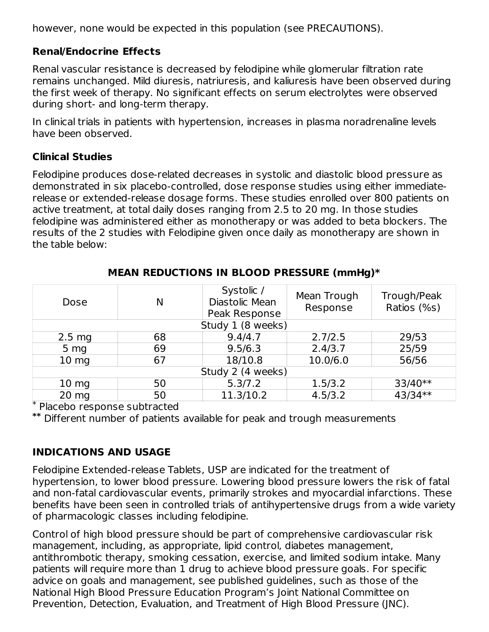however, none would be expected in this population (see PRECAUTIONS).

# **Renal/Endocrine Effects**

Renal vascular resistance is decreased by felodipine while glomerular filtration rate remains unchanged. Mild diuresis, natriuresis, and kaliuresis have been observed during the first week of therapy. No significant effects on serum electrolytes were observed during short- and long-term therapy.

In clinical trials in patients with hypertension, increases in plasma noradrenaline levels have been observed.

## **Clinical Studies**

Felodipine produces dose-related decreases in systolic and diastolic blood pressure as demonstrated in six placebo-controlled, dose response studies using either immediaterelease or extended-release dosage forms. These studies enrolled over 800 patients on active treatment, at total daily doses ranging from 2.5 to 20 mg. In those studies felodipine was administered either as monotherapy or was added to beta blockers. The results of the 2 studies with Felodipine given once daily as monotherapy are shown in the table below:

| Dose             | N                 | Systolic /<br>Diastolic Mean<br>Peak Response | Mean Trough<br>Response | Trough/Peak<br>Ratios (%s) |  |  |
|------------------|-------------------|-----------------------------------------------|-------------------------|----------------------------|--|--|
|                  |                   | Study 1 (8 weeks)                             |                         |                            |  |  |
| $2.5 \text{ mg}$ | 68                | 9.4/4.7                                       | 2.7/2.5                 | 29/53                      |  |  |
| 5 <sub>mg</sub>  | 69                | 9.5/6.3                                       | 2.4/3.7                 | 25/59                      |  |  |
| 10 <sub>mg</sub> | 67                | 18/10.8                                       | 10.0/6.0                | 56/56                      |  |  |
|                  | Study 2 (4 weeks) |                                               |                         |                            |  |  |
| 10 <sub>mg</sub> | 50                | 5.3/7.2                                       | 1.5/3.2                 | 33/40**                    |  |  |
| $20$ mg<br>÷     | 50                | 11.3/10.2                                     | 4.5/3.2                 | 43/34**                    |  |  |

### **MEAN REDUCTIONS IN BLOOD PRESSURE (mmHg)\***

Placebo response subtracted \*

Different number of patients available for peak and trough measurements **\*\***

# **INDICATIONS AND USAGE**

Felodipine Extended-release Tablets, USP are indicated for the treatment of hypertension, to lower blood pressure. Lowering blood pressure lowers the risk of fatal and non-fatal cardiovascular events, primarily strokes and myocardial infarctions. These benefits have been seen in controlled trials of antihypertensive drugs from a wide variety of pharmacologic classes including felodipine.

Control of high blood pressure should be part of comprehensive cardiovascular risk management, including, as appropriate, lipid control, diabetes management, antithrombotic therapy, smoking cessation, exercise, and limited sodium intake. Many patients will require more than 1 drug to achieve blood pressure goals. For specific advice on goals and management, see published guidelines, such as those of the National High Blood Pressure Education Program's Joint National Committee on Prevention, Detection, Evaluation, and Treatment of High Blood Pressure (JNC).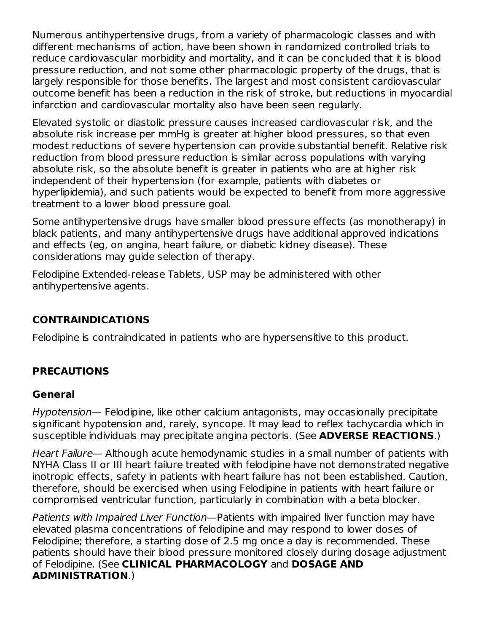Numerous antihypertensive drugs, from a variety of pharmacologic classes and with different mechanisms of action, have been shown in randomized controlled trials to reduce cardiovascular morbidity and mortality, and it can be concluded that it is blood pressure reduction, and not some other pharmacologic property of the drugs, that is largely responsible for those benefits. The largest and most consistent cardiovascular outcome benefit has been a reduction in the risk of stroke, but reductions in myocardial infarction and cardiovascular mortality also have been seen regularly.

Elevated systolic or diastolic pressure causes increased cardiovascular risk, and the absolute risk increase per mmHg is greater at higher blood pressures, so that even modest reductions of severe hypertension can provide substantial benefit. Relative risk reduction from blood pressure reduction is similar across populations with varying absolute risk, so the absolute benefit is greater in patients who are at higher risk independent of their hypertension (for example, patients with diabetes or hyperlipidemia), and such patients would be expected to benefit from more aggressive treatment to a lower blood pressure goal.

Some antihypertensive drugs have smaller blood pressure effects (as monotherapy) in black patients, and many antihypertensive drugs have additional approved indications and effects (eg, on angina, heart failure, or diabetic kidney disease). These considerations may guide selection of therapy.

Felodipine Extended-release Tablets, USP may be administered with other antihypertensive agents.

# **CONTRAINDICATIONS**

Felodipine is contraindicated in patients who are hypersensitive to this product.

# **PRECAUTIONS**

## **General**

Hypotension— Felodipine, like other calcium antagonists, may occasionally precipitate significant hypotension and, rarely, syncope. It may lead to reflex tachycardia which in susceptible individuals may precipitate angina pectoris. (See **ADVERSE REACTIONS**.)

Heart Failure— Although acute hemodynamic studies in a small number of patients with NYHA Class II or III heart failure treated with felodipine have not demonstrated negative inotropic effects, safety in patients with heart failure has not been established. Caution, therefore, should be exercised when using Felodipine in patients with heart failure or compromised ventricular function, particularly in combination with a beta blocker.

Patients with Impaired Liver Function—Patients with impaired liver function may have elevated plasma concentrations of felodipine and may respond to lower doses of Felodipine; therefore, a starting dose of 2.5 mg once a day is recommended. These patients should have their blood pressure monitored closely during dosage adjustment of Felodipine. (See **CLINICAL PHARMACOLOGY** and **DOSAGE AND ADMINISTRATION**.)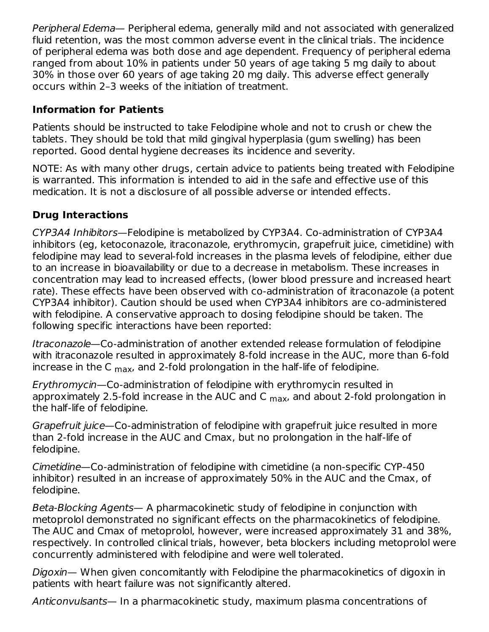Peripheral Edema— Peripheral edema, generally mild and not associated with generalized fluid retention, was the most common adverse event in the clinical trials. The incidence of peripheral edema was both dose and age dependent. Frequency of peripheral edema ranged from about 10% in patients under 50 years of age taking 5 mg daily to about 30% in those over 60 years of age taking 20 mg daily. This adverse effect generally occurs within 2–3 weeks of the initiation of treatment.

# **Information for Patients**

Patients should be instructed to take Felodipine whole and not to crush or chew the tablets. They should be told that mild gingival hyperplasia (gum swelling) has been reported. Good dental hygiene decreases its incidence and severity.

NOTE: As with many other drugs, certain advice to patients being treated with Felodipine is warranted. This information is intended to aid in the safe and effective use of this medication. It is not a disclosure of all possible adverse or intended effects.

# **Drug Interactions**

CYP3A4 Inhibitors—Felodipine is metabolized by CYP3A4. Co-administration of CYP3A4 inhibitors (eg, ketoconazole, itraconazole, erythromycin, grapefruit juice, cimetidine) with felodipine may lead to several-fold increases in the plasma levels of felodipine, either due to an increase in bioavailability or due to a decrease in metabolism. These increases in concentration may lead to increased effects, (lower blood pressure and increased heart rate). These effects have been observed with co-administration of itraconazole (a potent CYP3A4 inhibitor). Caution should be used when CYP3A4 inhibitors are co-administered with felodipine. A conservative approach to dosing felodipine should be taken. The following specific interactions have been reported:

Itraconazole—Co-administration of another extended release formulation of felodipine with itraconazole resulted in approximately 8-fold increase in the AUC, more than 6-fold increase in the C  $_{\sf max}$ , and 2-fold prolongation in the half-life of felodipine.

Erythromycin—Co-administration of felodipine with erythromycin resulted in approximately 2.5-fold increase in the AUC and C  $_{\sf max}$ , and about 2-fold prolongation in the half-life of felodipine.

Grapefruit juice—Co-administration of felodipine with grapefruit juice resulted in more than 2-fold increase in the AUC and Cmax, but no prolongation in the half-life of felodipine.

Cimetidine—Co-administration of felodipine with cimetidine (a non-specific CYP-450 inhibitor) resulted in an increase of approximately 50% in the AUC and the Cmax, of felodipine.

Beta-Blocking Agents— A pharmacokinetic study of felodipine in conjunction with metoprolol demonstrated no significant effects on the pharmacokinetics of felodipine. The AUC and Cmax of metoprolol, however, were increased approximately 31 and 38%, respectively. In controlled clinical trials, however, beta blockers including metoprolol were concurrently administered with felodipine and were well tolerated.

Digoxin— When given concomitantly with Felodipine the pharmacokinetics of digoxin in patients with heart failure was not significantly altered.

Anticonvulsants— In a pharmacokinetic study, maximum plasma concentrations of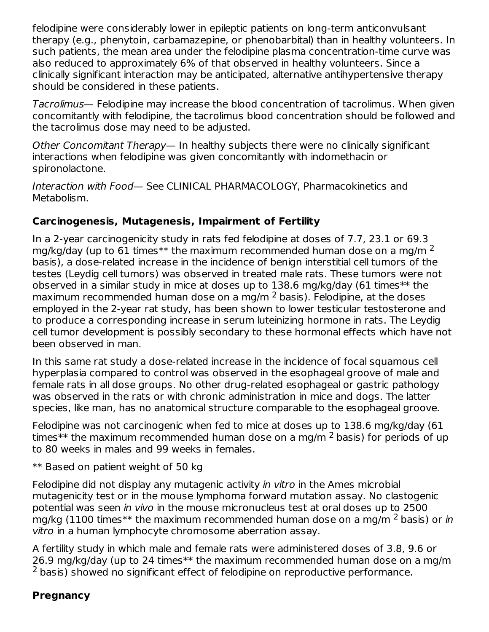felodipine were considerably lower in epileptic patients on long-term anticonvulsant therapy (e.g., phenytoin, carbamazepine, or phenobarbital) than in healthy volunteers. In such patients, the mean area under the felodipine plasma concentration-time curve was also reduced to approximately 6% of that observed in healthy volunteers. Since a clinically significant interaction may be anticipated, alternative antihypertensive therapy should be considered in these patients.

Tacrolimus— Felodipine may increase the blood concentration of tacrolimus. When given concomitantly with felodipine, the tacrolimus blood concentration should be followed and the tacrolimus dose may need to be adjusted.

Other Concomitant Therapy— In healthy subjects there were no clinically significant interactions when felodipine was given concomitantly with indomethacin or spironolactone.

Interaction with Food— See CLINICAL PHARMACOLOGY, Pharmacokinetics and Metabolism.

# **Carcinogenesis, Mutagenesis, Impairment of Fertility**

In a 2-year carcinogenicity study in rats fed felodipine at doses of 7.7, 23.1 or 69.3 mg/kg/day (up to 61 times $^{**}$  the maximum recommended human dose on a mg/m  $^2$ basis), a dose-related increase in the incidence of benign interstitial cell tumors of the testes (Leydig cell tumors) was observed in treated male rats. These tumors were not observed in a similar study in mice at doses up to 138.6 mg/kg/day (61 times\*\* the maximum recommended human dose on a mg/m  $^2$  basis). Felodipine, at the doses employed in the 2-year rat study, has been shown to lower testicular testosterone and to produce a corresponding increase in serum luteinizing hormone in rats. The Leydig cell tumor development is possibly secondary to these hormonal effects which have not been observed in man.

In this same rat study a dose-related increase in the incidence of focal squamous cell hyperplasia compared to control was observed in the esophageal groove of male and female rats in all dose groups. No other drug-related esophageal or gastric pathology was observed in the rats or with chronic administration in mice and dogs. The latter species, like man, has no anatomical structure comparable to the esophageal groove.

Felodipine was not carcinogenic when fed to mice at doses up to 138.6 mg/kg/day (61 times $^{**}$  the maximum recommended human dose on a mg/m  $^2$  basis) for periods of up to 80 weeks in males and 99 weeks in females.

\*\* Based on patient weight of 50 kg

Felodipine did not display any mutagenic activity in vitro in the Ames microbial mutagenicity test or in the mouse lymphoma forward mutation assay. No clastogenic potential was seen in vivo in the mouse micronucleus test at oral doses up to 2500 mg/kg (1100 times $^{**}$  the maximum recommended human dose on a mg/m  $^2$  basis) or *in* vitro in a human lymphocyte chromosome aberration assay.

A fertility study in which male and female rats were administered doses of 3.8, 9.6 or 26.9 mg/kg/day (up to 24 times\*\* the maximum recommended human dose on a mg/m  $2$  basis) showed no significant effect of felodipine on reproductive performance.

# **Pregnancy**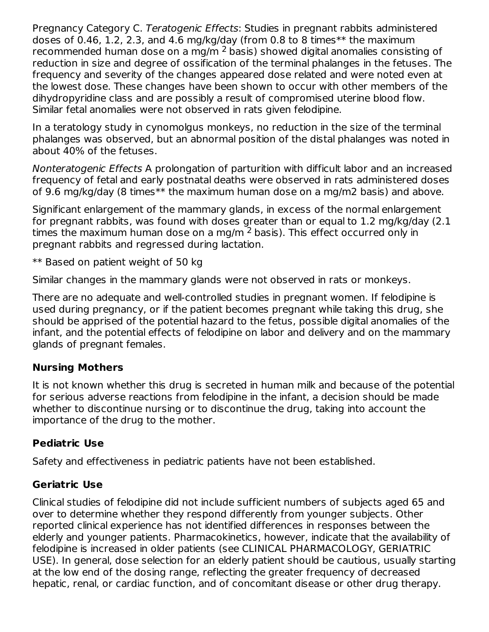Pregnancy Category C. Teratogenic Effects: Studies in pregnant rabbits administered doses of 0.46, 1.2, 2.3, and 4.6 mg/kg/day (from 0.8 to 8 times\*\* the maximum recommended human dose on a mg/m  $^2$  basis) showed digital anomalies consisting of reduction in size and degree of ossification of the terminal phalanges in the fetuses. The frequency and severity of the changes appeared dose related and were noted even at the lowest dose. These changes have been shown to occur with other members of the dihydropyridine class and are possibly a result of compromised uterine blood flow. Similar fetal anomalies were not observed in rats given felodipine.

In a teratology study in cynomolgus monkeys, no reduction in the size of the terminal phalanges was observed, but an abnormal position of the distal phalanges was noted in about 40% of the fetuses.

Nonteratogenic Effects A prolongation of parturition with difficult labor and an increased frequency of fetal and early postnatal deaths were observed in rats administered doses of 9.6 mg/kg/day (8 times\*\* the maximum human dose on a mg/m2 basis) and above.

Significant enlargement of the mammary glands, in excess of the normal enlargement for pregnant rabbits, was found with doses greater than or equal to 1.2 mg/kg/day (2.1 times the maximum human dose on a mg/m  $^2$  basis). This effect occurred only in pregnant rabbits and regressed during lactation.

\*\* Based on patient weight of 50 kg

Similar changes in the mammary glands were not observed in rats or monkeys.

There are no adequate and well-controlled studies in pregnant women. If felodipine is used during pregnancy, or if the patient becomes pregnant while taking this drug, she should be apprised of the potential hazard to the fetus, possible digital anomalies of the infant, and the potential effects of felodipine on labor and delivery and on the mammary glands of pregnant females.

# **Nursing Mothers**

It is not known whether this drug is secreted in human milk and because of the potential for serious adverse reactions from felodipine in the infant, a decision should be made whether to discontinue nursing or to discontinue the drug, taking into account the importance of the drug to the mother.

# **Pediatric Use**

Safety and effectiveness in pediatric patients have not been established.

# **Geriatric Use**

Clinical studies of felodipine did not include sufficient numbers of subjects aged 65 and over to determine whether they respond differently from younger subjects. Other reported clinical experience has not identified differences in responses between the elderly and younger patients. Pharmacokinetics, however, indicate that the availability of felodipine is increased in older patients (see CLINICAL PHARMACOLOGY, GERIATRIC USE). In general, dose selection for an elderly patient should be cautious, usually starting at the low end of the dosing range, reflecting the greater frequency of decreased hepatic, renal, or cardiac function, and of concomitant disease or other drug therapy.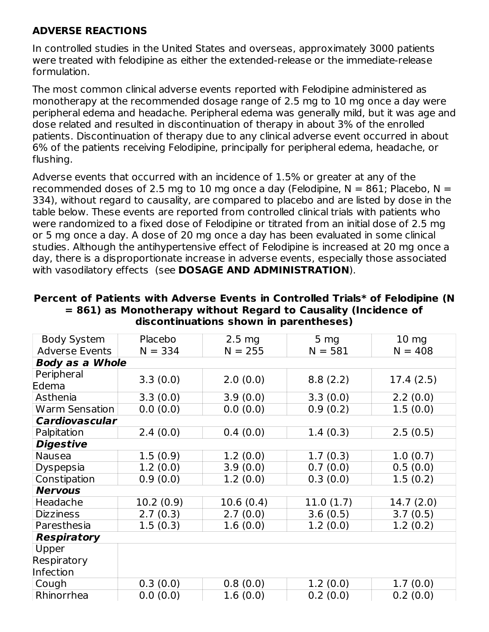## **ADVERSE REACTIONS**

In controlled studies in the United States and overseas, approximately 3000 patients were treated with felodipine as either the extended-release or the immediate-release formulation.

The most common clinical adverse events reported with Felodipine administered as monotherapy at the recommended dosage range of 2.5 mg to 10 mg once a day were peripheral edema and headache. Peripheral edema was generally mild, but it was age and dose related and resulted in discontinuation of therapy in about 3% of the enrolled patients. Discontinuation of therapy due to any clinical adverse event occurred in about 6% of the patients receiving Felodipine, principally for peripheral edema, headache, or flushing.

Adverse events that occurred with an incidence of 1.5% or greater at any of the recommended doses of 2.5 mg to 10 mg once a day (Felodipine,  $N = 861$ ; Placebo,  $N =$ 334), without regard to causality, are compared to placebo and are listed by dose in the table below. These events are reported from controlled clinical trials with patients who were randomized to a fixed dose of Felodipine or titrated from an initial dose of 2.5 mg or 5 mg once a day. A dose of 20 mg once a day has been evaluated in some clinical studies. Although the antihypertensive effect of Felodipine is increased at 20 mg once a day, there is a disproportionate increase in adverse events, especially those associated with vasodilatory effects (see **DOSAGE AND ADMINISTRATION**).

| <b>Body System</b>     | Placebo   | $2.5 \text{ mg}$ | 5 <sub>mg</sub> | $10 \, mg$ |  |  |  |  |
|------------------------|-----------|------------------|-----------------|------------|--|--|--|--|
| <b>Adverse Events</b>  | $N = 334$ | $N = 255$        | $N = 581$       | $N = 408$  |  |  |  |  |
| <b>Body as a Whole</b> |           |                  |                 |            |  |  |  |  |
| Peripheral             | 3.3(0.0)  | 2.0(0.0)         | 8.8(2.2)        | 17.4(2.5)  |  |  |  |  |
| Edema                  |           |                  |                 |            |  |  |  |  |
| Asthenia               | 3.3(0.0)  | 3.9(0.0)         | 3.3(0.0)        | 2.2(0.0)   |  |  |  |  |
| Warm Sensation         | 0.0(0.0)  | 0.0(0.0)         | 0.9(0.2)        | 1.5(0.0)   |  |  |  |  |
| <b>Cardiovascular</b>  |           |                  |                 |            |  |  |  |  |
| Palpitation            | 2.4(0.0)  | 0.4(0.0)         | 1.4(0.3)        | 2.5(0.5)   |  |  |  |  |
| <b>Digestive</b>       |           |                  |                 |            |  |  |  |  |
| Nausea                 | 1.5(0.9)  | 1.2(0.0)         | 1.7(0.3)        | 1.0(0.7)   |  |  |  |  |
| Dyspepsia              | 1.2(0.0)  | 3.9(0.0)         | 0.7(0.0)        | 0.5(0.0)   |  |  |  |  |
| Constipation           | 0.9(0.0)  | 1.2(0.0)         | 0.3(0.0)        | 1.5(0.2)   |  |  |  |  |
| <b>Nervous</b>         |           |                  |                 |            |  |  |  |  |
| Headache               | 10.2(0.9) | 10.6(0.4)        | 11.0(1.7)       | 14.7(2.0)  |  |  |  |  |
| <b>Dizziness</b>       | 2.7(0.3)  | 2.7(0.0)         | 3.6(0.5)        | 3.7(0.5)   |  |  |  |  |
| Paresthesia            | 1.5(0.3)  | 1.6(0.0)         | 1.2(0.0)        | 1.2(0.2)   |  |  |  |  |
| <b>Respiratory</b>     |           |                  |                 |            |  |  |  |  |
| Upper                  |           |                  |                 |            |  |  |  |  |
| Respiratory            |           |                  |                 |            |  |  |  |  |
| <b>Infection</b>       |           |                  |                 |            |  |  |  |  |
| Cough                  | 0.3(0.0)  | 0.8(0.0)         | 1.2(0.0)        | 1.7(0.0)   |  |  |  |  |
| Rhinorrhea             | 0.0(0.0)  | 1.6(0.0)         | 0.2(0.0)        | 0.2(0.0)   |  |  |  |  |

#### **Percent of Patients with Adverse Events in Controlled Trials\* of Felodipine (N = 861) as Monotherapy without Regard to Causality (Incidence of discontinuations shown in parentheses)**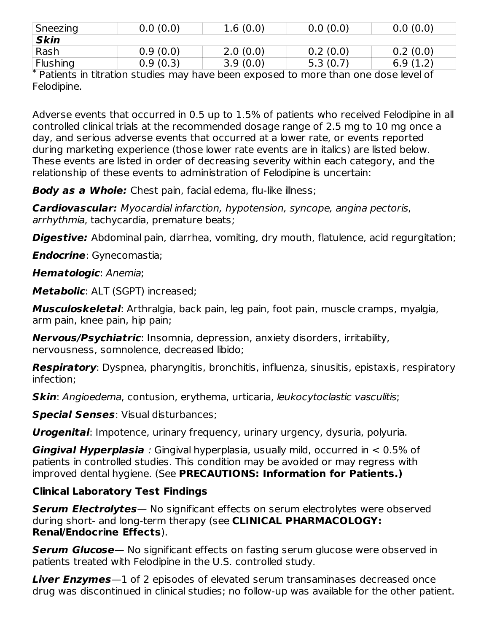| Sneezing     | 0.0(0.0) | 1.6(0.0) | 0.0(0.0) |          |
|--------------|----------|----------|----------|----------|
| <b>Skin</b>  |          |          |          |          |
| $\vert$ Rash | 0.9(0.0) | 2.0(0.0) | 0.2(0.0) | 0.2(0.0) |
| Flushing     | 0.9(0.3) | 3.9(0.0) | 5.3(0.7) | 6.9(1.2) |

\* Patients in titration studies may have been exposed to more than one dose level of Felodipine.

Adverse events that occurred in 0.5 up to 1.5% of patients who received Felodipine in all controlled clinical trials at the recommended dosage range of 2.5 mg to 10 mg once a day, and serious adverse events that occurred at a lower rate, or events reported during marketing experience (those lower rate events are in italics) are listed below. These events are listed in order of decreasing severity within each category, and the relationship of these events to administration of Felodipine is uncertain:

**Body as a Whole:** Chest pain, facial edema, flu-like illness;

**Cardiovascular:** Myocardial infarction, hypotension, syncope, angina pectoris, arrhythmia, tachycardia, premature beats;

**Digestive:** Abdominal pain, diarrhea, vomiting, dry mouth, flatulence, acid regurgitation;

**Endocrine**: Gynecomastia;

**Hematologic**: Anemia;

**Metabolic**: ALT (SGPT) increased;

**Musculoskeletal**: Arthralgia, back pain, leg pain, foot pain, muscle cramps, myalgia, arm pain, knee pain, hip pain;

**Nervous/Psychiatric**: Insomnia, depression, anxiety disorders, irritability, nervousness, somnolence, decreased libido;

**Respiratory**: Dyspnea, pharyngitis, bronchitis, influenza, sinusitis, epistaxis, respiratory infection;

**Skin**: Angioedema, contusion, erythema, urticaria, leukocytoclastic vasculitis;

**Special Senses**: Visual disturbances;

**Urogenital**: Impotence, urinary frequency, urinary urgency, dysuria, polyuria.

**Gingival Hyperplasia** : Gingival hyperplasia, usually mild, occurred in < 0.5% of patients in controlled studies. This condition may be avoided or may regress with improved dental hygiene. (See **PRECAUTIONS: Information for Patients.)**

# **Clinical Laboratory Test Findings**

**Serum Electrolytes**— No significant effects on serum electrolytes were observed during short- and long-term therapy (see **CLINICAL PHARMACOLOGY: Renal/Endocrine Effects**).

**Serum Glucose**— No significant effects on fasting serum glucose were observed in patients treated with Felodipine in the U.S. controlled study.

**Liver Enzymes**—1 of 2 episodes of elevated serum transaminases decreased once drug was discontinued in clinical studies; no follow-up was available for the other patient.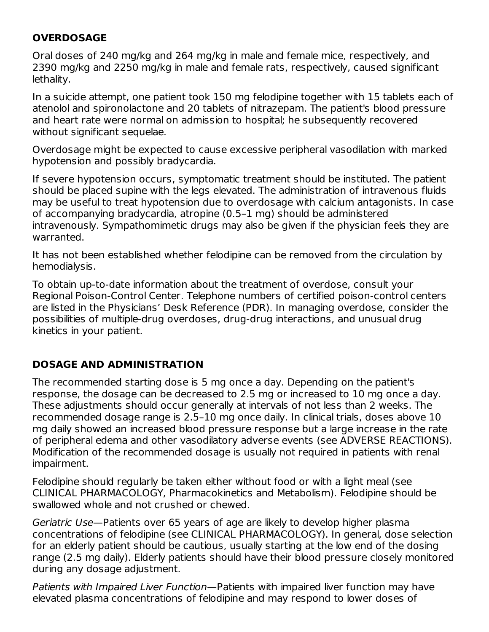# **OVERDOSAGE**

Oral doses of 240 mg/kg and 264 mg/kg in male and female mice, respectively, and 2390 mg/kg and 2250 mg/kg in male and female rats, respectively, caused significant lethality.

In a suicide attempt, one patient took 150 mg felodipine together with 15 tablets each of atenolol and spironolactone and 20 tablets of nitrazepam. The patient's blood pressure and heart rate were normal on admission to hospital; he subsequently recovered without significant sequelae.

Overdosage might be expected to cause excessive peripheral vasodilation with marked hypotension and possibly bradycardia.

If severe hypotension occurs, symptomatic treatment should be instituted. The patient should be placed supine with the legs elevated. The administration of intravenous fluids may be useful to treat hypotension due to overdosage with calcium antagonists. In case of accompanying bradycardia, atropine (0.5–1 mg) should be administered intravenously. Sympathomimetic drugs may also be given if the physician feels they are warranted.

It has not been established whether felodipine can be removed from the circulation by hemodialysis.

To obtain up-to-date information about the treatment of overdose, consult your Regional Poison-Control Center. Telephone numbers of certified poison-control centers are listed in the Physicians' Desk Reference (PDR). In managing overdose, consider the possibilities of multiple-drug overdoses, drug-drug interactions, and unusual drug kinetics in your patient.

# **DOSAGE AND ADMINISTRATION**

The recommended starting dose is 5 mg once a day. Depending on the patient's response, the dosage can be decreased to 2.5 mg or increased to 10 mg once a day. These adjustments should occur generally at intervals of not less than 2 weeks. The recommended dosage range is 2.5–10 mg once daily. In clinical trials, doses above 10 mg daily showed an increased blood pressure response but a large increase in the rate of peripheral edema and other vasodilatory adverse events (see ADVERSE REACTIONS). Modification of the recommended dosage is usually not required in patients with renal impairment.

Felodipine should regularly be taken either without food or with a light meal (see CLINICAL PHARMACOLOGY, Pharmacokinetics and Metabolism). Felodipine should be swallowed whole and not crushed or chewed.

Geriatric Use—Patients over 65 years of age are likely to develop higher plasma concentrations of felodipine (see CLINICAL PHARMACOLOGY). In general, dose selection for an elderly patient should be cautious, usually starting at the low end of the dosing range (2.5 mg daily). Elderly patients should have their blood pressure closely monitored during any dosage adjustment.

Patients with Impaired Liver Function—Patients with impaired liver function may have elevated plasma concentrations of felodipine and may respond to lower doses of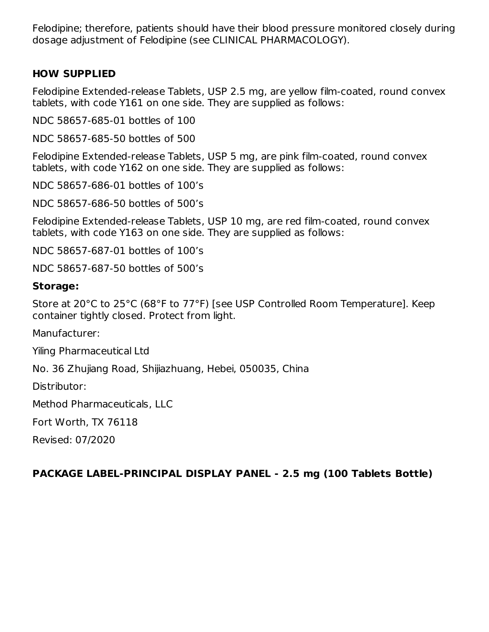Felodipine; therefore, patients should have their blood pressure monitored closely during dosage adjustment of Felodipine (see CLINICAL PHARMACOLOGY).

## **HOW SUPPLIED**

Felodipine Extended-release Tablets, USP 2.5 mg, are yellow film-coated, round convex tablets, with code Y161 on one side. They are supplied as follows:

NDC 58657-685-01 bottles of 100

NDC 58657-685-50 bottles of 500

Felodipine Extended-release Tablets, USP 5 mg, are pink film-coated, round convex tablets, with code Y162 on one side. They are supplied as follows:

NDC 58657-686-01 bottles of 100's

NDC 58657-686-50 bottles of 500's

Felodipine Extended-release Tablets, USP 10 mg, are red film-coated, round convex tablets, with code Y163 on one side. They are supplied as follows:

NDC 58657-687-01 bottles of 100's

NDC 58657-687-50 bottles of 500's

## **Storage:**

Store at 20°C to 25°C (68°F to 77°F) [see USP Controlled Room Temperature]. Keep container tightly closed. Protect from light.

Manufacturer:

Yiling Pharmaceutical Ltd

No. 36 Zhujiang Road, Shijiazhuang, Hebei, 050035, China

Distributor:

Method Pharmaceuticals, LLC

Fort Worth, TX 76118

Revised: 07/2020

## **PACKAGE LABEL-PRINCIPAL DISPLAY PANEL - 2.5 mg (100 Tablets Bottle)**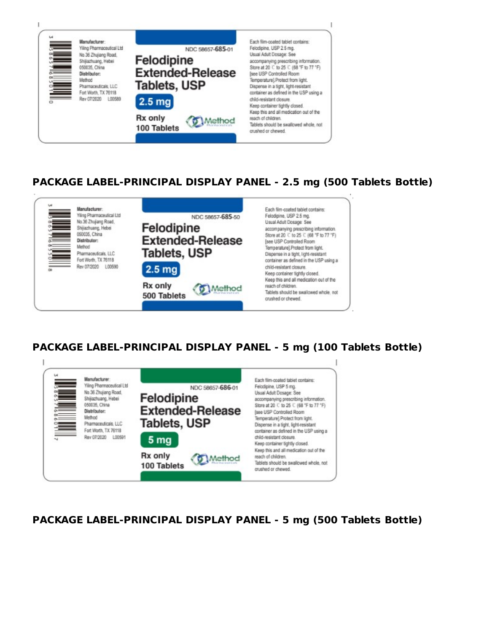

## **PACKAGE LABEL-PRINCIPAL DISPLAY PANEL - 2.5 mg (500 Tablets Bottle)**



# **PACKAGE LABEL-PRINCIPAL DISPLAY PANEL - 5 mg (100 Tablets Bottle)**



**PACKAGE LABEL-PRINCIPAL DISPLAY PANEL - 5 mg (500 Tablets Bottle)**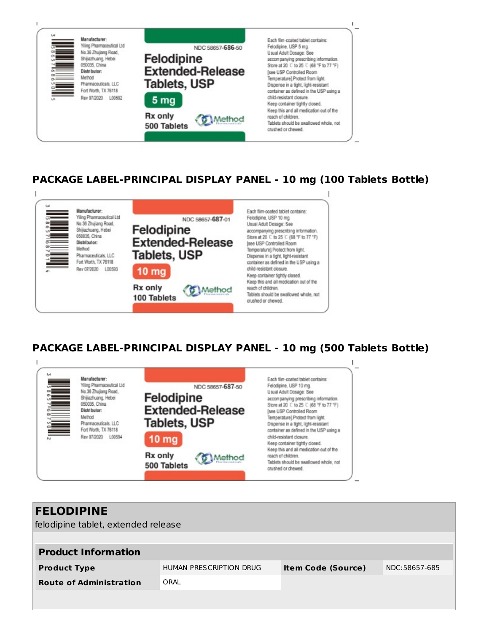

## **PACKAGE LABEL-PRINCIPAL DISPLAY PANEL - 10 mg (100 Tablets Bottle)**



# **PACKAGE LABEL-PRINCIPAL DISPLAY PANEL - 10 mg (500 Tablets Bottle)**



| <b>FELODIPINE</b>                   |                         |                           |               |  |  |  |  |  |
|-------------------------------------|-------------------------|---------------------------|---------------|--|--|--|--|--|
| felodipine tablet, extended release |                         |                           |               |  |  |  |  |  |
|                                     |                         |                           |               |  |  |  |  |  |
| <b>Product Information</b>          |                         |                           |               |  |  |  |  |  |
| <b>Product Type</b>                 | HUMAN PRESCRIPTION DRUG | <b>Item Code (Source)</b> | NDC:58657-685 |  |  |  |  |  |
| <b>Route of Administration</b>      | ORAL                    |                           |               |  |  |  |  |  |
|                                     |                         |                           |               |  |  |  |  |  |
|                                     |                         |                           |               |  |  |  |  |  |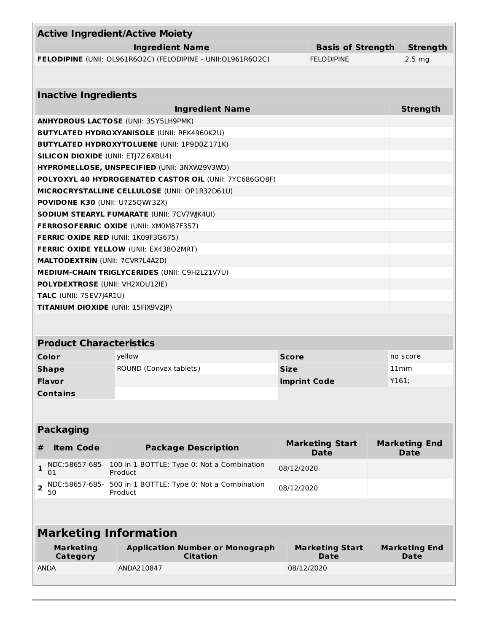| <b>Active Ingredient/Active Moiety</b>                       |                          |                   |
|--------------------------------------------------------------|--------------------------|-------------------|
| <b>Ingredient Name</b>                                       | <b>Basis of Strength</b> | <b>Strength</b>   |
| FELODIPINE (UNII: OL961R6O2C) (FELODIPINE - UNII:OL961R6O2C) | <b>FELODIPINE</b>        | 2.5 <sub>ma</sub> |
|                                                              |                          |                   |
|                                                              |                          |                   |
| <b>Inactive Ingredients</b>                                  |                          |                   |
| <b>Ingredient Name</b>                                       |                          | <b>Strength</b>   |
| <b>ANHYDROUS LACTOSE (UNII: 3SY5LH9PMK)</b>                  |                          |                   |
| <b>BUTYLATED HYDROXYANISOLE (UNII: REK4960K2U)</b>           |                          |                   |
| <b>BUTYLATED HYDROXYTOLUENE (UNII: 1P9D0Z171K)</b>           |                          |                   |
| <b>SILICON DIOXIDE (UNII: ETJ7Z6XBU4)</b>                    |                          |                   |
| HYPROMELLOSE, UNSPECIFIED (UNII: 3NXW29V3WO)                 |                          |                   |
| POLYOXYL 40 HYDROGENATED CASTOR OIL (UNII: 7YC686GQ8F)       |                          |                   |
| MICROCRYSTALLINE CELLULOSE (UNII: OP1R32D61U)                |                          |                   |
| <b>POVIDONE K30 (UNII: U7250WY32X)</b>                       |                          |                   |
| <b>SODIUM STEARYL FUMARATE (UNII: 7CV7WK4UI)</b>             |                          |                   |
| <b>FERROSOFERRIC OXIDE (UNII: XMOM87F357)</b>                |                          |                   |
| <b>FERRIC OXIDE RED (UNII: 1K09F3G675)</b>                   |                          |                   |
| <b>FERRIC OXIDE YELLOW (UNII: EX43802MRT)</b>                |                          |                   |
| <b>MALTODEXTRIN (UNII: 7CVR7L4A2D)</b>                       |                          |                   |
| <b>MEDIUM-CHAIN TRIGLYCERIDES (UNII: C9H2L21V7U)</b>         |                          |                   |
| <b>POLYDEXTROSE (UNII: VH2XOU12IE)</b>                       |                          |                   |
| TALC (UNII: 7SEV7J4R1U)                                      |                          |                   |
| <b>TITANIUM DIOXIDE (UNII: 15FIX9V2JP)</b>                   |                          |                   |
|                                                              |                          |                   |

### **Product Characteristics**

| Color           | vellow                        | <b>Score</b>        | no score |
|-----------------|-------------------------------|---------------------|----------|
| <b>Shape</b>    | <b>ROUND (Convex tablets)</b> | <b>Size</b>         | 11mm     |
| <b>Flavor</b>   |                               | <b>Imprint Code</b> | Y161;    |
| <b>Contains</b> |                               |                     |          |

### **Packaging**

| <b>Item Code</b> | <b>Package Description</b>                                                    | <b>Marketing Start</b><br><b>Date</b> | <b>Marketing End</b><br><b>Date</b> |
|------------------|-------------------------------------------------------------------------------|---------------------------------------|-------------------------------------|
| 01               | NDC:58657-685- 100 in 1 BOTTLE; Type 0: Not a Combination<br>Product          | 08/12/2020                            |                                     |
| 50               | $\sigma$ NDC:58657-685- 500 in 1 BOTTLE; Type 0: Not a Combination<br>Product | 08/12/2020                            |                                     |
|                  |                                                                               |                                       |                                     |

#### **Marketing Information Marketing Category Application Number or Monograph Citation Marketing Start Date Marketing End Date** ANDA ANDA210847 08/12/2020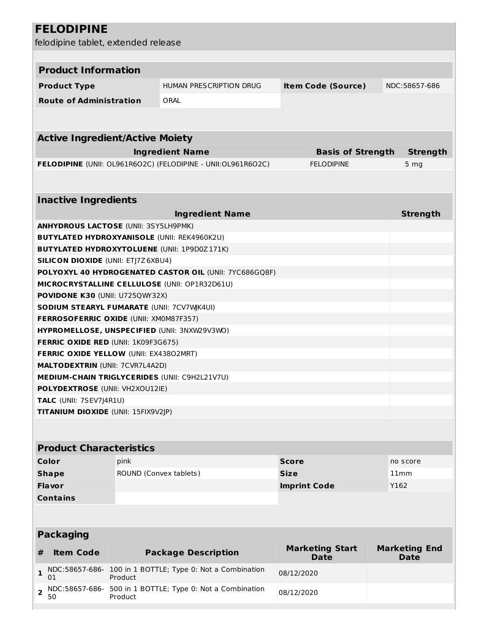|                  | <b>FELODIPINE</b>                                |                               |                                                              |                     |                                       |  |                                     |  |  |
|------------------|--------------------------------------------------|-------------------------------|--------------------------------------------------------------|---------------------|---------------------------------------|--|-------------------------------------|--|--|
|                  | felodipine tablet, extended release              |                               |                                                              |                     |                                       |  |                                     |  |  |
|                  |                                                  |                               |                                                              |                     |                                       |  |                                     |  |  |
|                  | <b>Product Information</b>                       |                               |                                                              |                     |                                       |  |                                     |  |  |
|                  |                                                  |                               |                                                              |                     |                                       |  |                                     |  |  |
|                  | <b>Product Type</b>                              |                               | <b>HUMAN PRESCRIPTION DRUG</b>                               |                     | <b>Item Code (Source)</b>             |  | NDC:58657-686                       |  |  |
|                  | <b>Route of Administration</b>                   |                               | ORAL                                                         |                     |                                       |  |                                     |  |  |
|                  |                                                  |                               |                                                              |                     |                                       |  |                                     |  |  |
|                  |                                                  |                               |                                                              |                     |                                       |  |                                     |  |  |
|                  | <b>Active Ingredient/Active Moiety</b>           |                               |                                                              |                     |                                       |  |                                     |  |  |
|                  |                                                  |                               | <b>Ingredient Name</b>                                       |                     | <b>Basis of Strength</b>              |  | <b>Strength</b>                     |  |  |
|                  |                                                  |                               | FELODIPINE (UNII: OL961R6O2C) (FELODIPINE - UNII:OL961R6O2C) |                     | <b>FELODIPINE</b>                     |  | 5 <sub>mg</sub>                     |  |  |
|                  |                                                  |                               |                                                              |                     |                                       |  |                                     |  |  |
|                  | <b>Inactive Ingredients</b>                      |                               |                                                              |                     |                                       |  |                                     |  |  |
|                  |                                                  |                               | <b>Ingredient Name</b>                                       |                     |                                       |  | <b>Strength</b>                     |  |  |
|                  | <b>ANHYDROUS LACTOSE (UNII: 3SY5LH9PMK)</b>      |                               |                                                              |                     |                                       |  |                                     |  |  |
|                  |                                                  |                               | <b>BUTYLATED HYDROXYANISOLE (UNII: REK4960K2U)</b>           |                     |                                       |  |                                     |  |  |
|                  |                                                  |                               | <b>BUTYLATED HYDROXYTOLUENE (UNII: 1P9D0Z171K)</b>           |                     |                                       |  |                                     |  |  |
|                  | <b>SILICON DIOXIDE (UNII: ETJ7Z6XBU4)</b>        |                               |                                                              |                     |                                       |  |                                     |  |  |
|                  |                                                  |                               | POLYOXYL 40 HYDROGENATED CASTOR OIL (UNII: 7YC686GQ8F)       |                     |                                       |  |                                     |  |  |
|                  |                                                  |                               | MICROCRYSTALLINE CELLULOSE (UNII: OP1R32D61U)                |                     |                                       |  |                                     |  |  |
|                  | POVIDONE K30 (UNII: U725QWY32X)                  |                               |                                                              |                     |                                       |  |                                     |  |  |
|                  | <b>SODIUM STEARYL FUMARATE (UNII: 7CV7WK4UI)</b> |                               |                                                              |                     |                                       |  |                                     |  |  |
|                  | FERROSOFERRIC OXIDE (UNII: XM0M87F357)           |                               |                                                              |                     |                                       |  |                                     |  |  |
|                  |                                                  |                               | HYPROMELLOSE, UNSPECIFIED (UNII: 3NXW29V3WO)                 |                     |                                       |  |                                     |  |  |
|                  | <b>FERRIC OXIDE RED (UNII: 1K09F3G675)</b>       |                               |                                                              |                     |                                       |  |                                     |  |  |
|                  | FERRIC OXIDE YELLOW (UNII: EX43802MRT)           |                               |                                                              |                     |                                       |  |                                     |  |  |
|                  | <b>MALTODEXTRIN (UNII: 7CVR7L4A2D)</b>           |                               |                                                              |                     |                                       |  |                                     |  |  |
|                  |                                                  |                               | MEDIUM-CHAIN TRIGLYCERIDES (UNII: C9H2L21V7U)                |                     |                                       |  |                                     |  |  |
|                  | <b>POLYDEXTROSE (UNII: VH2XOU12IE)</b>           |                               |                                                              |                     |                                       |  |                                     |  |  |
|                  | TALC (UNII: 7SEV7J4R1U)                          |                               |                                                              |                     |                                       |  |                                     |  |  |
|                  | TITANIUM DIOXIDE (UNII: 15FIX9V2JP)              |                               |                                                              |                     |                                       |  |                                     |  |  |
|                  |                                                  |                               |                                                              |                     |                                       |  |                                     |  |  |
|                  | <b>Product Characteristics</b>                   |                               |                                                              |                     |                                       |  |                                     |  |  |
|                  | Color                                            | pink                          |                                                              | <b>Score</b>        |                                       |  | no score                            |  |  |
|                  | <b>Shape</b>                                     | <b>ROUND (Convex tablets)</b> |                                                              | <b>Size</b>         |                                       |  | 11mm                                |  |  |
|                  | <b>Flavor</b>                                    |                               |                                                              | <b>Imprint Code</b> |                                       |  | Y162                                |  |  |
|                  | <b>Contains</b>                                  |                               |                                                              |                     |                                       |  |                                     |  |  |
|                  |                                                  |                               |                                                              |                     |                                       |  |                                     |  |  |
|                  |                                                  |                               |                                                              |                     |                                       |  |                                     |  |  |
| <b>Packaging</b> |                                                  |                               |                                                              |                     |                                       |  |                                     |  |  |
| #                | <b>Item Code</b>                                 |                               | <b>Package Description</b>                                   |                     | <b>Marketing Start</b><br><b>Date</b> |  | <b>Marketing End</b><br><b>Date</b> |  |  |
| $\mathbf{1}$     | NDC:58657-686-<br>01                             | Product                       | 100 in 1 BOTTLE; Type 0: Not a Combination                   | 08/12/2020          |                                       |  |                                     |  |  |
| $\overline{2}$   | NDC:58657-686-<br>50                             | Product                       | 500 in 1 BOTTLE; Type 0: Not a Combination                   | 08/12/2020          |                                       |  |                                     |  |  |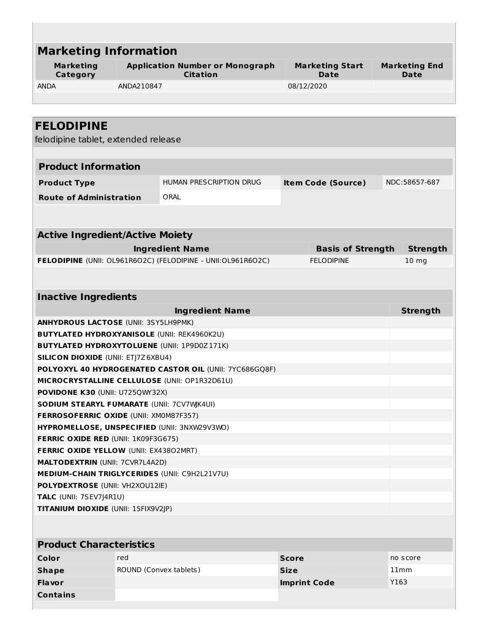| <b>Marketing Information</b>                                                        |                        |                                                              |                     |                                       |      |                                     |
|-------------------------------------------------------------------------------------|------------------------|--------------------------------------------------------------|---------------------|---------------------------------------|------|-------------------------------------|
| <b>Marketing</b><br>Category                                                        |                        | <b>Application Number or Monograph</b><br><b>Citation</b>    |                     | <b>Marketing Start</b><br><b>Date</b> |      | <b>Marketing End</b><br><b>Date</b> |
| <b>ANDA</b>                                                                         | ANDA210847             |                                                              | 08/12/2020          |                                       |      |                                     |
|                                                                                     |                        |                                                              |                     |                                       |      |                                     |
|                                                                                     |                        |                                                              |                     |                                       |      |                                     |
| <b>FELODIPINE</b>                                                                   |                        |                                                              |                     |                                       |      |                                     |
| felodipine tablet, extended release                                                 |                        |                                                              |                     |                                       |      |                                     |
|                                                                                     |                        |                                                              |                     |                                       |      |                                     |
| <b>Product Information</b>                                                          |                        |                                                              |                     |                                       |      |                                     |
| <b>Product Type</b>                                                                 |                        | HUMAN PRESCRIPTION DRUG                                      |                     | <b>Item Code (Source)</b>             |      | NDC:58657-687                       |
| <b>Route of Administration</b>                                                      |                        | ORAL                                                         |                     |                                       |      |                                     |
|                                                                                     |                        |                                                              |                     |                                       |      |                                     |
|                                                                                     |                        |                                                              |                     |                                       |      |                                     |
| <b>Active Ingredient/Active Moiety</b>                                              |                        |                                                              |                     |                                       |      |                                     |
|                                                                                     |                        | <b>Ingredient Name</b>                                       |                     | <b>Basis of Strength</b>              |      | <b>Strength</b>                     |
|                                                                                     |                        | FELODIPINE (UNII: OL961R6O2C) (FELODIPINE - UNII:OL961R6O2C) |                     | <b>FELODIPINE</b>                     |      | 10 <sub>mg</sub>                    |
|                                                                                     |                        |                                                              |                     |                                       |      |                                     |
|                                                                                     |                        |                                                              |                     |                                       |      |                                     |
| <b>Inactive Ingredients</b>                                                         |                        |                                                              |                     |                                       |      |                                     |
|                                                                                     |                        | <b>Ingredient Name</b>                                       |                     |                                       |      | <b>Strength</b>                     |
| <b>ANHYDROUS LACTOSE (UNII: 3SY5LH9PMK)</b>                                         |                        |                                                              |                     |                                       |      |                                     |
| <b>BUTYLATED HYDROXYANISOLE (UNII: REK4960K2U)</b>                                  |                        |                                                              |                     |                                       |      |                                     |
| <b>BUTYLATED HYDROXYTOLUENE (UNII: 1P9D0Z171K)</b>                                  |                        |                                                              |                     |                                       |      |                                     |
| <b>SILICON DIOXIDE (UNII: ETJ7Z6XBU4)</b>                                           |                        |                                                              |                     |                                       |      |                                     |
|                                                                                     |                        | POLYOXYL 40 HYDROGENATED CASTOR OIL (UNII: 7YC686GQ8F)       |                     |                                       |      |                                     |
| MICROCRYSTALLINE CELLULOSE (UNII: OP1R32D61U)                                       |                        |                                                              |                     |                                       |      |                                     |
| POVIDONE K30 (UNII: U725QWY32X)<br><b>SODIUM STEARYL FUMARATE (UNII: 7CV7WK4UI)</b> |                        |                                                              |                     |                                       |      |                                     |
| FERROSOFERRIC OXIDE (UNII: XM0M87F357)                                              |                        |                                                              |                     |                                       |      |                                     |
| HYPROMELLOSE, UNSPECIFIED (UNII: 3NXW29V3WO)                                        |                        |                                                              |                     |                                       |      |                                     |
| <b>FERRIC OXIDE RED (UNII: 1K09F3G675)</b>                                          |                        |                                                              |                     |                                       |      |                                     |
| FERRIC OXIDE YELLOW (UNII: EX43802MRT)                                              |                        |                                                              |                     |                                       |      |                                     |
| <b>MALTODEXTRIN (UNII: 7CVR7L4A2D)</b>                                              |                        |                                                              |                     |                                       |      |                                     |
| <b>MEDIUM-CHAIN TRIGLYCERIDES (UNII: C9H2L21V7U)</b>                                |                        |                                                              |                     |                                       |      |                                     |
| <b>POLYDEXTROSE (UNII: VH2XOU12IE)</b>                                              |                        |                                                              |                     |                                       |      |                                     |
| TALC (UNII: 7SEV7J4R1U)                                                             |                        |                                                              |                     |                                       |      |                                     |
| TITANIUM DIOXIDE (UNII: 15FIX9V2JP)                                                 |                        |                                                              |                     |                                       |      |                                     |
|                                                                                     |                        |                                                              |                     |                                       |      |                                     |
| <b>Product Characteristics</b>                                                      |                        |                                                              |                     |                                       |      |                                     |
| Color                                                                               | red                    |                                                              | <b>Score</b>        |                                       |      | no score                            |
| <b>Shape</b>                                                                        | ROUND (Convex tablets) |                                                              | <b>Size</b>         |                                       |      | 11mm                                |
| Flavor                                                                              |                        |                                                              | <b>Imprint Code</b> |                                       | Y163 |                                     |
| <b>Contains</b>                                                                     |                        |                                                              |                     |                                       |      |                                     |